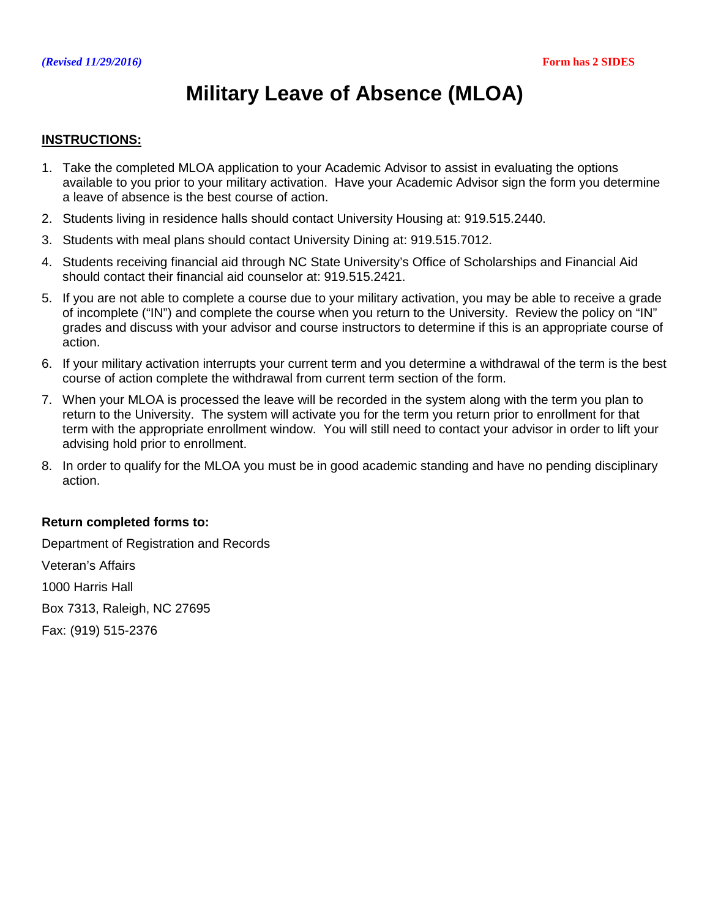# **Military Leave of Absence (MLOA)**

### **INSTRUCTIONS:**

- 1. Take the completed MLOA application to your Academic Advisor to assist in evaluating the options available to you prior to your military activation. Have your Academic Advisor sign the form you determine a leave of absence is the best course of action.
- 2. Students living in residence halls should contact University Housing at: 919.515.2440.
- 3. Students with meal plans should contact University Dining at: 919.515.7012.
- 4. Students receiving financial aid through NC State University's Office of Scholarships and Financial Aid should contact their financial aid counselor at: 919.515.2421.
- 5. If you are not able to complete a course due to your military activation, you may be able to receive a grade of incomplete ("IN") and complete the course when you return to the University. Review the policy on "IN" grades and discuss with your advisor and course instructors to determine if this is an appropriate course of action.
- 6. If your military activation interrupts your current term and you determine a withdrawal of the term is the best course of action complete the withdrawal from current term section of the form.
- 7. When your MLOA is processed the leave will be recorded in the system along with the term you plan to return to the University. The system will activate you for the term you return prior to enrollment for that term with the appropriate enrollment window. You will still need to contact your advisor in order to lift your advising hold prior to enrollment.
- 8. In order to qualify for the MLOA you must be in good academic standing and have no pending disciplinary action.

### **Return completed forms to:**

Department of Registration and Records Veteran's Affairs 1000 Harris Hall Box 7313, Raleigh, NC 27695 Fax: (919) 515-2376